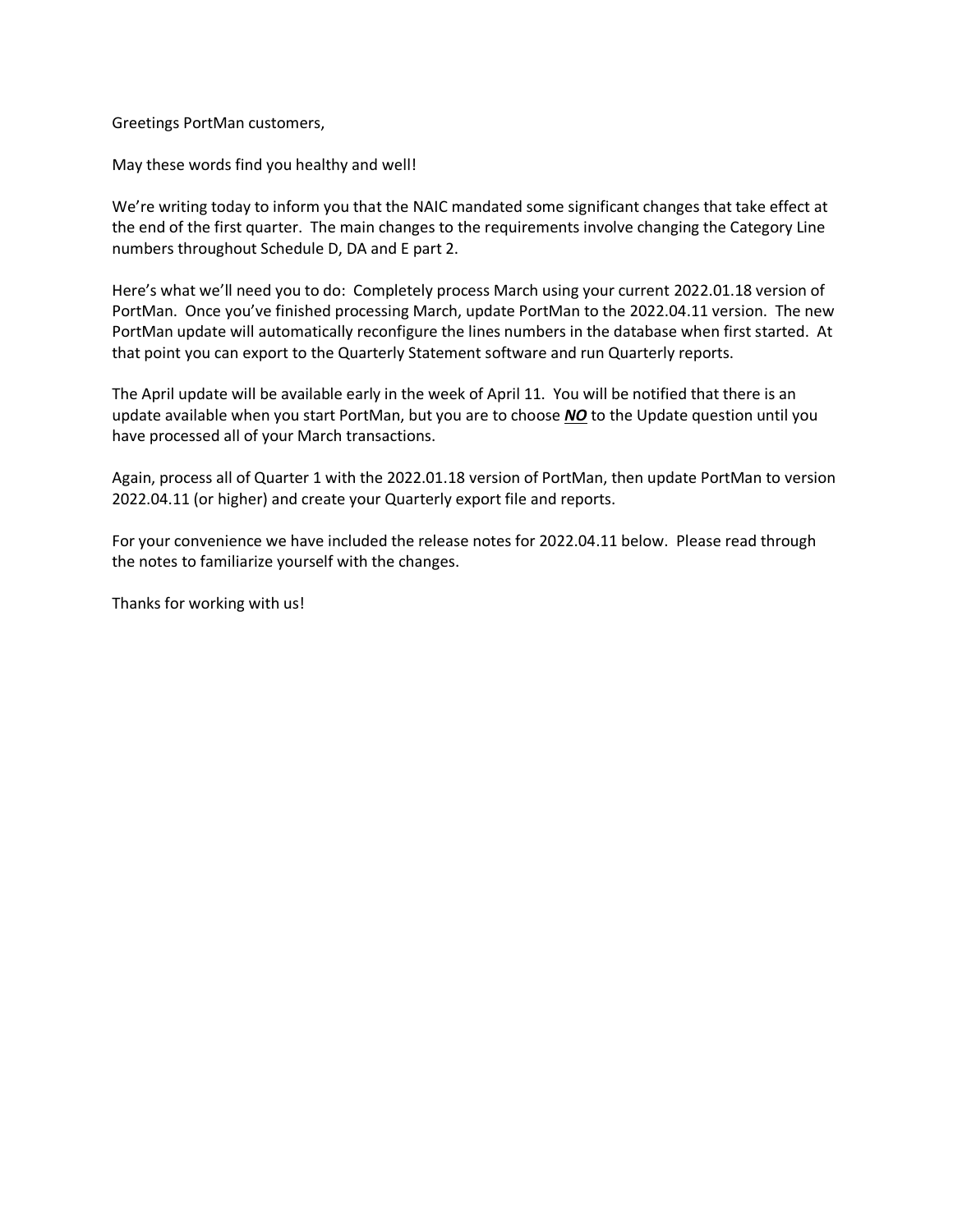Greetings PortMan customers,

May these words find you healthy and well!

We're writing today to inform you that the NAIC mandated some significant changes that take effect at the end of the first quarter. The main changes to the requirements involve changing the Category Line numbers throughout Schedule D, DA and E part 2.

Here's what we'll need you to do: Completely process March using your current 2022.01.18 version of PortMan. Once you've finished processing March, update PortMan to the 2022.04.11 version. The new PortMan update will automatically reconfigure the lines numbers in the database when first started. At that point you can export to the Quarterly Statement software and run Quarterly reports.

The April update will be available early in the week of April 11. You will be notified that there is an update available when you start PortMan, but you are to choose *NO* to the Update question until you have processed all of your March transactions.

Again, process all of Quarter 1 with the 2022.01.18 version of PortMan, then update PortMan to version 2022.04.11 (or higher) and create your Quarterly export file and reports.

For your convenience we have included the release notes for 2022.04.11 below. Please read through the notes to familiarize yourself with the changes.

Thanks for working with us!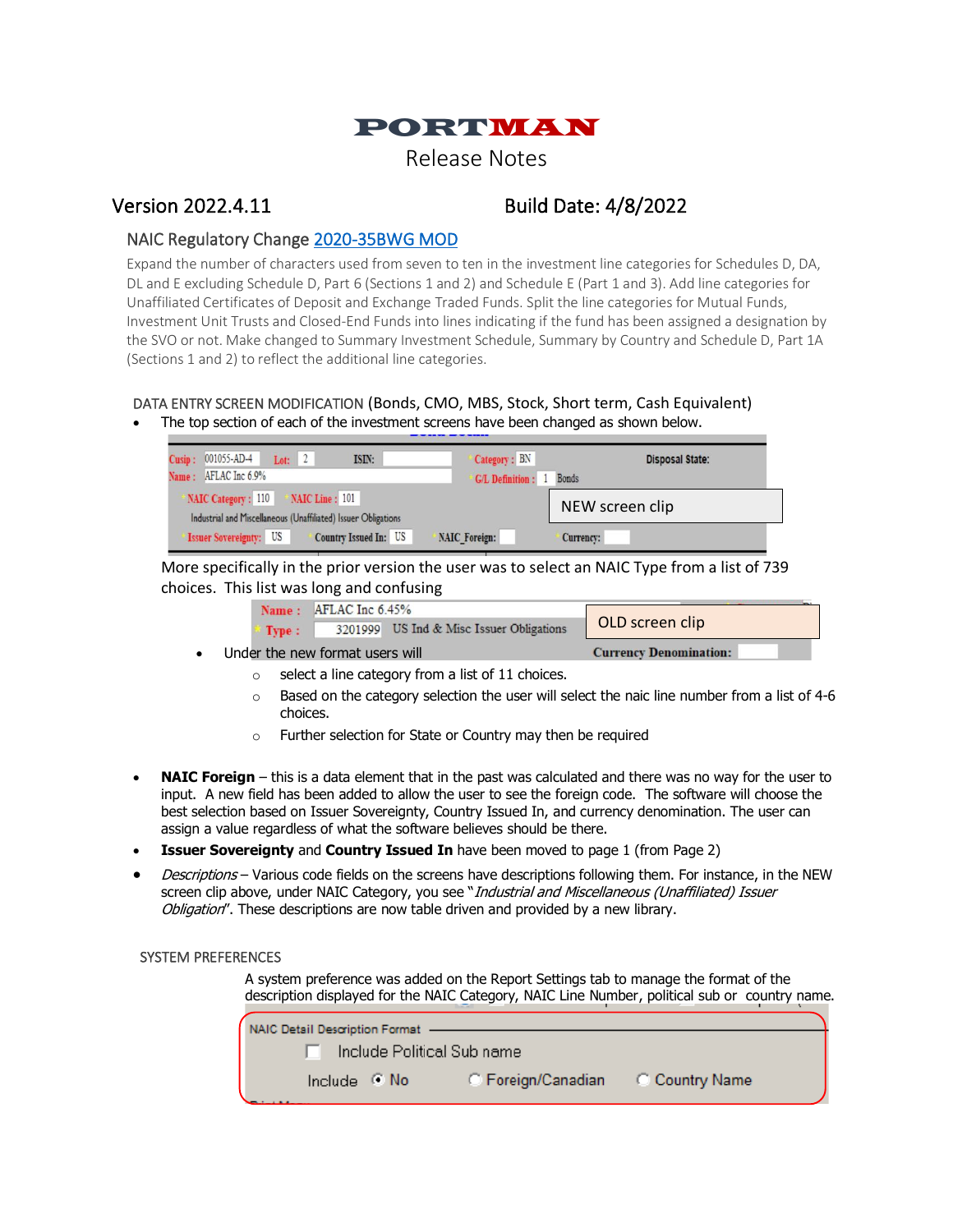

# Version 2022.4.11 Build Date: 4/8/2022

# NAIC Regulatory Change [2020-35BWG MOD](https://content.naic.org/sites/default/files/inline-files/2020-35BWG_Modified.pdf)

Expand the number of characters used from seven to ten in the investment line categories for Schedules D, DA, DL and E excluding Schedule D, Part 6 (Sections 1 and 2) and Schedule E (Part 1 and 3). Add line categories for Unaffiliated Certificates of Deposit and Exchange Traded Funds. Split the line categories for Mutual Funds, Investment Unit Trusts and Closed-End Funds into lines indicating if the fund has been assigned a designation by the SVO or not. Make changed to Summary Investment Schedule, Summary by Country and Schedule D, Part 1A (Sections 1 and 2) to reflect the additional line categories.

#### DATA ENTRY SCREEN MODIFICATION (Bonds, CMO, MBS, Stock, Short term, Cash Equivalent) The top section of each of the investment screens have been changed as shown below.

| Lot: $2$<br>Cusip: 001055-AD-4<br>ISIN:<br>Name: AFLAC Inc 6.9%                                        | Category: BN<br><b>G/L Definition:</b> 1 | <b>Disposal State:</b><br><b>Bonds</b> |
|--------------------------------------------------------------------------------------------------------|------------------------------------------|----------------------------------------|
| NAIC Category: 110<br>NAIC Line: 101<br>Industrial and Miscellaneous (Unaffiliated) Issuer Obligations |                                          | NEW screen clip                        |
| <b>Issuer Sovereignty: US</b><br><b>Country Issued In: US</b>                                          | <b>NAIC Foreign:</b>                     | Currency:                              |

More specifically in the prior version the user was to select an NAIC Type from a list of 739 choices. This list was long and confusing

|                                 | Name: AFLAC Inc 6.45% |                                          |                               |
|---------------------------------|-----------------------|------------------------------------------|-------------------------------|
| Type :                          |                       | 3201999 US Ind & Misc Issuer Obligations | OLD screen clip               |
| Under the new format users will |                       |                                          | <b>Currency Denomination:</b> |

- $\circ$  select a line category from a list of 11 choices.
	- $\circ$  Based on the category selection the user will select the naic line number from a list of 4-6 choices.
	- o Further selection for State or Country may then be required
- **NAIC Foreign** this is a data element that in the past was calculated and there was no way for the user to input. A new field has been added to allow the user to see the foreign code. The software will choose the best selection based on Issuer Sovereignty, Country Issued In, and currency denomination. The user can assign a value regardless of what the software believes should be there.
- **Issuer Sovereignty** and **Country Issued In** have been moved to page 1 (from Page 2)
- Descriptions Various code fields on the screens have descriptions following them. For instance, in the NEW screen clip above, under NAIC Category, you see "Industrial and Miscellaneous (Unaffiliated) Issuer Obligation". These descriptions are now table driven and provided by a new library.

## SYSTEM PREFERENCES

A system preference was added on the Report Settings tab to manage the format of the description displayed for the NAIC Category, NAIC Line Number, political sub or country name.

| NAIC Detail Description Format - |                      |                    |                |  |
|----------------------------------|----------------------|--------------------|----------------|--|
| Include Political Sub name       |                      |                    |                |  |
|                                  | Include $\bullet$ No | C Foreign/Canadian | C Country Name |  |
|                                  |                      |                    |                |  |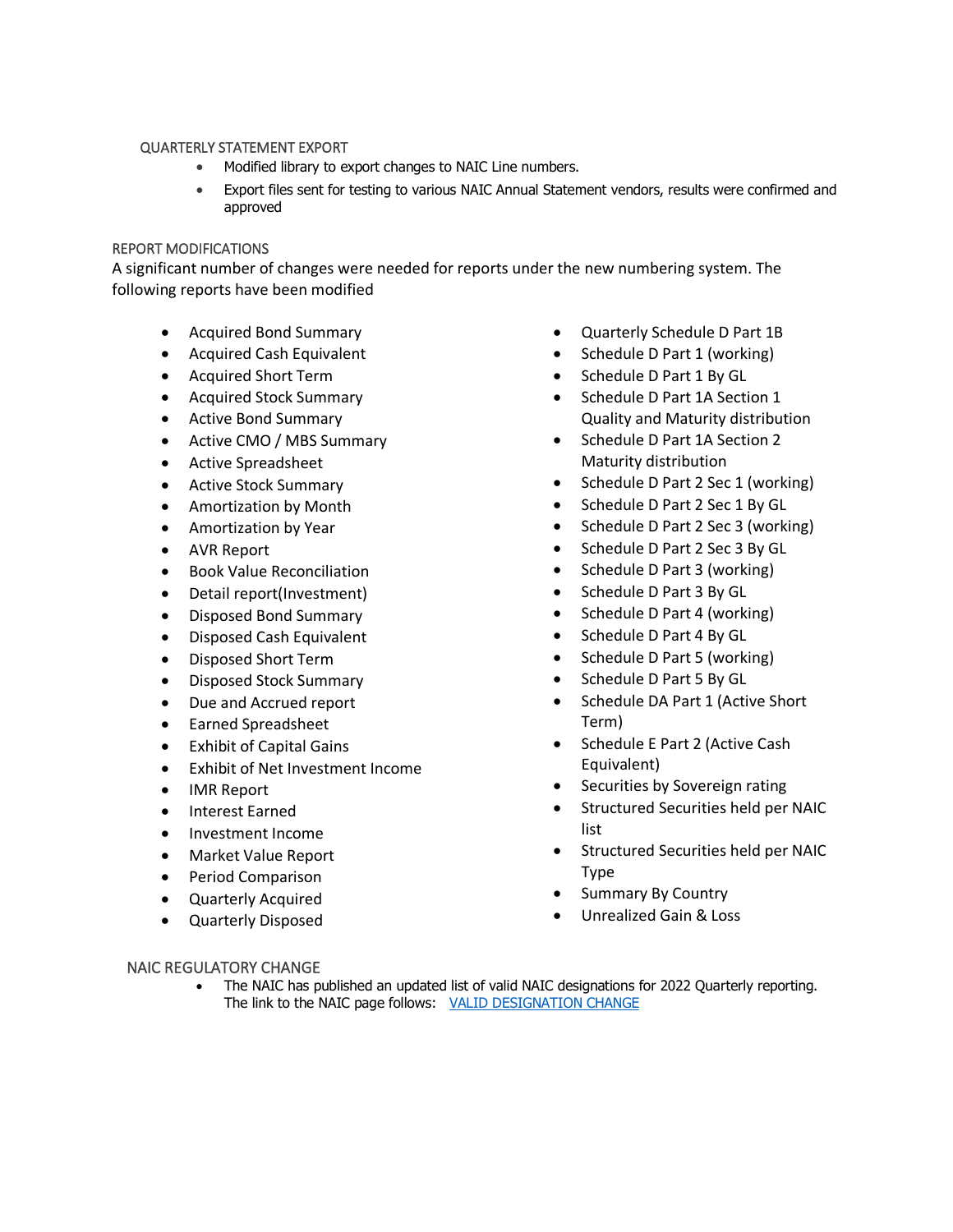#### QUARTERLY STATEMENT EXPORT

- Modified library to export changes to NAIC Line numbers.
- Export files sent for testing to various NAIC Annual Statement vendors, results were confirmed and approved

## REPORT MODIFICATIONS

A significant number of changes were needed for reports under the new numbering system. The following reports have been modified

- Acquired Bond Summary
- Acquired Cash Equivalent
- Acquired Short Term
- Acquired Stock Summary
- Active Bond Summary
- Active CMO / MBS Summary
- Active Spreadsheet
- Active Stock Summary
- Amortization by Month
- Amortization by Year
- AVR Report
- Book Value Reconciliation
- Detail report(Investment)
- Disposed Bond Summary
- Disposed Cash Equivalent
- Disposed Short Term
- Disposed Stock Summary
- Due and Accrued report
- Earned Spreadsheet
- **Exhibit of Capital Gains**
- Exhibit of Net Investment Income
- IMR Report
- Interest Earned
- Investment Income
- Market Value Report
- Period Comparison
- Quarterly Acquired
- Quarterly Disposed
- Quarterly Schedule D Part 1B
- Schedule D Part 1 (working)
- Schedule D Part 1 By GL
- Schedule D Part 1A Section 1 Quality and Maturity distribution
- Schedule D Part 1A Section 2 Maturity distribution
- Schedule D Part 2 Sec 1 (working)
- Schedule D Part 2 Sec 1 By GL
- Schedule D Part 2 Sec 3 (working)
- Schedule D Part 2 Sec 3 By GL
- Schedule D Part 3 (working)
- Schedule D Part 3 By GL
- Schedule D Part 4 (working)
- Schedule D Part 4 By GL
- Schedule D Part 5 (working)
- Schedule D Part 5 By GL
- Schedule DA Part 1 (Active Short Term)
- Schedule E Part 2 (Active Cash Equivalent)
- Securities by Sovereign rating
- Structured Securities held per NAIC list
- Structured Securities held per NAIC Type
- Summary By Country
- Unrealized Gain & Loss

## NAIC REGULATORY CHANGE

• The NAIC has published an updated list of valid NAIC designations for 2022 Quarterly reporting. The link to the NAIC page follows: [VALID DESIGNATION CHANGE](https://content.naic.org/sites/default/files/inline-files/Valid_Designation_Combinations_2022_Quarterly_Reporting.pdf)